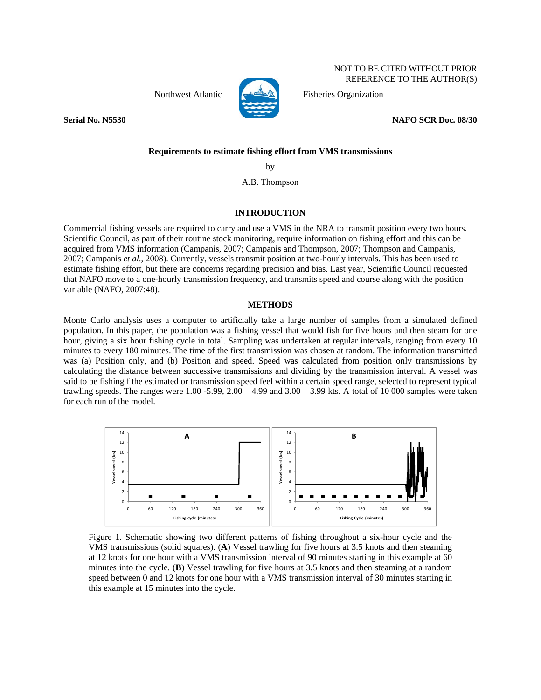

NOT TO BE CITED WITHOUT PRIOR REFERENCE TO THE AUTHOR(S)

Northwest Atlantic  $\left| \bigoplus_{\Delta} \mathbb{R} \right|$  Fisheries Organization

**Serial No. N5530 NAFO SCR Doc. 08/30**

# **Requirements to estimate fishing effort from VMS transmissions**

by

A.B. Thompson

## **INTRODUCTION**

Commercial fishing vessels are required to carry and use a VMS in the NRA to transmit position every two hours. Scientific Council, as part of their routine stock monitoring, require information on fishing effort and this can be acquired from VMS information (Campanis, 2007; Campanis and Thompson, 2007; Thompson and Campanis, 2007; Campanis *et al*., 2008). Currently, vessels transmit position at two-hourly intervals. This has been used to estimate fishing effort, but there are concerns regarding precision and bias. Last year, Scientific Council requested that NAFO move to a one-hourly transmission frequency, and transmits speed and course along with the position variable (NAFO, 2007:48).

#### **METHODS**

Monte Carlo analysis uses a computer to artificially take a large number of samples from a simulated defined population. In this paper, the population was a fishing vessel that would fish for five hours and then steam for one hour, giving a six hour fishing cycle in total. Sampling was undertaken at regular intervals, ranging from every 10 minutes to every 180 minutes. The time of the first transmission was chosen at random. The information transmitted was (a) Position only, and (b) Position and speed. Speed was calculated from position only transmissions by calculating the distance between successive transmissions and dividing by the transmission interval. A vessel was said to be fishing f the estimated or transmission speed feel within a certain speed range, selected to represent typical trawling speeds. The ranges were  $1.00 - 5.99$ ,  $2.00 - 4.99$  and  $3.00 - 3.99$  kts. A total of 10 000 samples were taken for each run of the model.



Figure 1. Schematic showing two different patterns of fishing throughout a six-hour cycle and the VMS transmissions (solid squares). (**A**) Vessel trawling for five hours at 3.5 knots and then steaming at 12 knots for one hour with a VMS transmission interval of 90 minutes starting in this example at 60 minutes into the cycle. (**B**) Vessel trawling for five hours at 3.5 knots and then steaming at a random speed between 0 and 12 knots for one hour with a VMS transmission interval of 30 minutes starting in this example at 15 minutes into the cycle.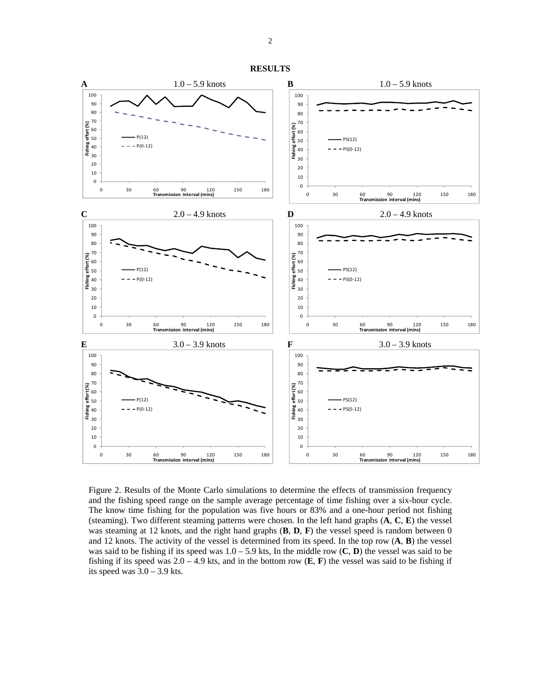

**RESULTS** 

Figure 2. Results of the Monte Carlo simulations to determine the effects of transmission frequency and the fishing speed range on the sample average percentage of time fishing over a six-hour cycle. The know time fishing for the population was five hours or 83% and a one-hour period not fishing (steaming). Two different steaming patterns were chosen. In the left hand graphs (**A**, **C**, **E**) the vessel was steaming at 12 knots, and the right hand graphs (**B**, **D**, **F**) the vessel speed is random between 0 and 12 knots. The activity of the vessel is determined from its speed. In the top row (**A**, **B**) the vessel was said to be fishing if its speed was 1.0 – 5.9 kts, In the middle row (**C**, **D**) the vessel was said to be fishing if its speed was  $2.0 - 4.9$  kts, and in the bottom row  $(E, F)$  the vessel was said to be fishing if its speed was  $3.0 - 3.9$  kts.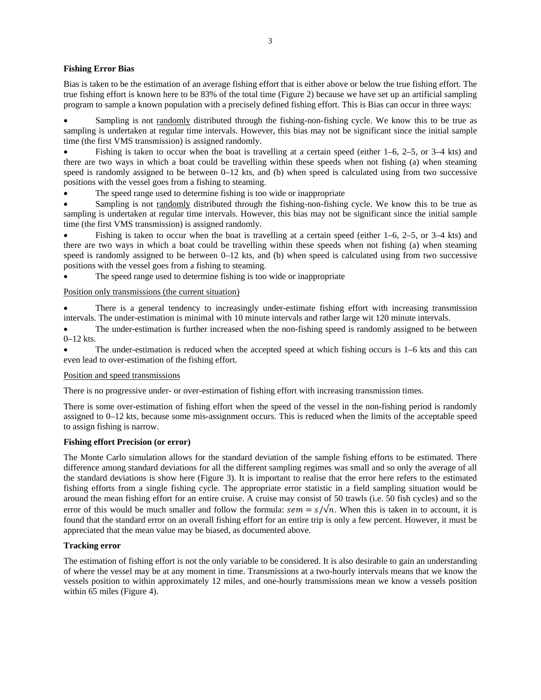## **Fishing Error Bias**

Bias is taken to be the estimation of an average fishing effort that is either above or below the true fishing effort. The true fishing effort is known here to be 83% of the total time (Figure 2) because we have set up an artificial sampling program to sample a known population with a precisely defined fishing effort. This is Bias can occur in three ways:

Sampling is not randomly distributed through the fishing-non-fishing cycle. We know this to be true as sampling is undertaken at regular time intervals. However, this bias may not be significant since the initial sample time (the first VMS transmission) is assigned randomly.

Fishing is taken to occur when the boat is travelling at a certain speed (either  $1-6$ ,  $2-5$ , or  $3-4$  kts) and there are two ways in which a boat could be travelling within these speeds when not fishing (a) when steaming speed is randomly assigned to be between 0–12 kts, and (b) when speed is calculated using from two successive positions with the vessel goes from a fishing to steaming.

The speed range used to determine fishing is too wide or inappropriate

Sampling is not randomly distributed through the fishing-non-fishing cycle. We know this to be true as sampling is undertaken at regular time intervals. However, this bias may not be significant since the initial sample time (the first VMS transmission) is assigned randomly.

Fishing is taken to occur when the boat is travelling at a certain speed (either  $1-6$ ,  $2-5$ , or  $3-4$  kts) and there are two ways in which a boat could be travelling within these speeds when not fishing (a) when steaming speed is randomly assigned to be between 0–12 kts, and (b) when speed is calculated using from two successive positions with the vessel goes from a fishing to steaming.

The speed range used to determine fishing is too wide or inappropriate

## Position only transmissions (the current situation)

There is a general tendency to increasingly under-estimate fishing effort with increasing transmission intervals. The under-estimation is minimal with 10 minute intervals and rather large wit 120 minute intervals.

The under-estimation is further increased when the non-fishing speed is randomly assigned to be between 0–12 kts.

The under-estimation is reduced when the accepted speed at which fishing occurs is  $1-6$  kts and this can even lead to over-estimation of the fishing effort.

## Position and speed transmissions

There is no progressive under- or over-estimation of fishing effort with increasing transmission times.

There is some over-estimation of fishing effort when the speed of the vessel in the non-fishing period is randomly assigned to 0–12 kts, because some mis-assignment occurs. This is reduced when the limits of the acceptable speed to assign fishing is narrow.

## **Fishing effort Precision (or error)**

The Monte Carlo simulation allows for the standard deviation of the sample fishing efforts to be estimated. There difference among standard deviations for all the different sampling regimes was small and so only the average of all the standard deviations is show here (Figure 3). It is important to realise that the error here refers to the estimated fishing efforts from a single fishing cycle. The appropriate error statistic in a field sampling situation would be around the mean fishing effort for an entire cruise. A cruise may consist of 50 trawls (i.e. 50 fish cycles) and so the error of this would be much smaller and follow the formula:  $sem = s/\sqrt{n}$ . When this is taken in to account, it is found that the standard error on an overall fishing effort for an entire trip is only a few percent. However, it must be appreciated that the mean value may be biased, as documented above.

## **Tracking error**

The estimation of fishing effort is not the only variable to be considered. It is also desirable to gain an understanding of where the vessel may be at any moment in time. Transmissions at a two-hourly intervals means that we know the vessels position to within approximately 12 miles, and one-hourly transmissions mean we know a vessels position within 65 miles (Figure 4).